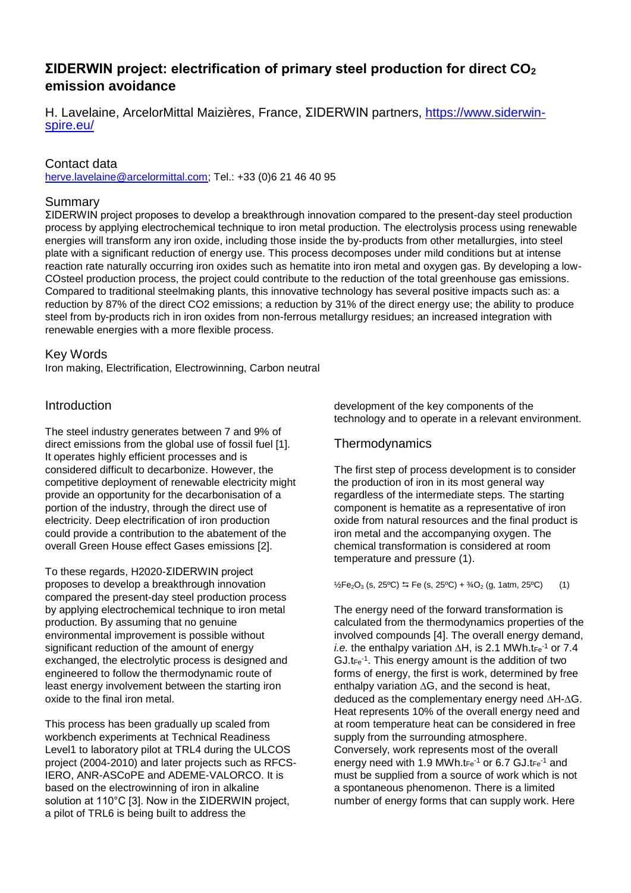# **ΣIDERWIN project: electrification of primary steel production for direct CO<sup>2</sup> emission avoidance**

H. Lavelaine, ArcelorMittal Maizières, France, ΣIDERWIN partners, [https://www.siderwin](https://www.siderwin-spire.eu/)[spire.eu/](https://www.siderwin-spire.eu/)

### Contact data

[herve.lavelaine@arcelormittal.com;](mailto:herve.lavelaine@arcelormittal.com) Tel.: +33 (0)6 21 46 40 95

### Summary

ΣIDERWIN project proposes to develop a breakthrough innovation compared to the present-day steel production process by applying electrochemical technique to iron metal production. The electrolysis process using renewable energies will transform any iron oxide, including those inside the by-products from other metallurgies, into steel plate with a significant reduction of energy use. This process decomposes under mild conditions but at intense reaction rate naturally occurring iron oxides such as hematite into iron metal and oxygen gas. By developing a low-COsteel production process, the project could contribute to the reduction of the total greenhouse gas emissions. Compared to traditional steelmaking plants, this innovative technology has several positive impacts such as: a reduction by 87% of the direct CO2 emissions; a reduction by 31% of the direct energy use; the ability to produce steel from by-products rich in iron oxides from non-ferrous metallurgy residues; an increased integration with renewable energies with a more flexible process.

### Key Words

Iron making, Electrification, Electrowinning, Carbon neutral

### Introduction

The steel industry generates between 7 and 9% of direct emissions from the global use of fossil fuel [1]. It operates highly efficient processes and is considered difficult to decarbonize. However, the competitive deployment of renewable electricity might provide an opportunity for the decarbonisation of a portion of the industry, through the direct use of electricity. Deep electrification of iron production could provide a contribution to the abatement of the overall Green House effect Gases emissions [2].

To these regards, H2020-ΣIDERWIN project proposes to develop a breakthrough innovation compared the present-day steel production process by applying electrochemical technique to iron metal production. By assuming that no genuine environmental improvement is possible without significant reduction of the amount of energy exchanged, the electrolytic process is designed and engineered to follow the thermodynamic route of least energy involvement between the starting iron oxide to the final iron metal.

This process has been gradually up scaled from workbench experiments at Technical Readiness Level1 to laboratory pilot at TRL4 during the ULCOS project (2004-2010) and later projects such as RFCS-IERO, ANR-ASCoPE and ADEME-VALORCO. It is based on the electrowinning of iron in alkaline solution at 110°C [3]. Now in the ΣIDERWIN project, a pilot of TRL6 is being built to address the

development of the key components of the technology and to operate in a relevant environment.

### **Thermodynamics**

The first step of process development is to consider the production of iron in its most general way regardless of the intermediate steps. The starting component is hematite as a representative of iron oxide from natural resources and the final product is iron metal and the accompanying oxygen. The chemical transformation is considered at room temperature and pressure (1).

 $\frac{1}{2}Fe_2O_3$  (s, 25°C)  $\leftrightarrows$  Fe (s, 25°C) +  $\frac{3}{4}O_2$  (g, 1atm, 25°C) (1)

The energy need of the forward transformation is calculated from the thermodynamics properties of the involved compounds [4]. The overall energy demand, *i.e.* the enthalpy variation  $\Delta H$ , is 2.1 MWh.tFe<sup>-1</sup> or 7.4  $GJ.t_{Fe}^{-1}$ . This energy amount is the addition of two forms of energy, the first is work, determined by free enthalpy variation  $\Delta G$ , and the second is heat, deduced as the complementary energy need  $\Delta H - \Delta G$ . Heat represents 10% of the overall energy need and at room temperature heat can be considered in free supply from the surrounding atmosphere. Conversely, work represents most of the overall energy need with 1.9 MWh.tFe<sup>-1</sup> or 6.7 GJ.tFe<sup>-1</sup> and must be supplied from a source of work which is not a spontaneous phenomenon. There is a limited number of energy forms that can supply work. Here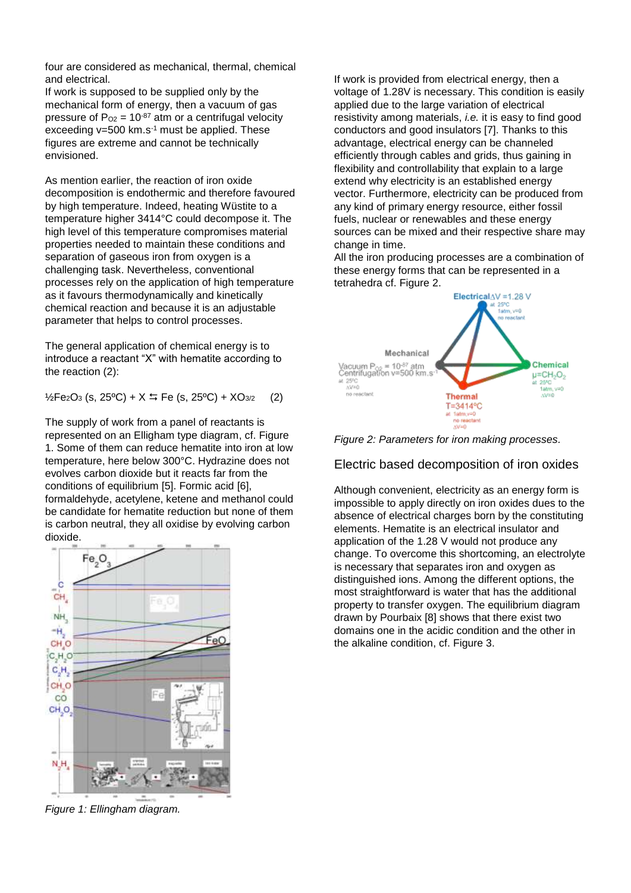four are considered as mechanical, thermal, chemical and electrical.

If work is supposed to be supplied only by the mechanical form of energy, then a vacuum of gas pressure of  $P_{O2} = 10^{-87}$  atm or a centrifugal velocity exceeding  $v=500$  km.s<sup>-1</sup> must be applied. These figures are extreme and cannot be technically envisioned.

As mention earlier, the reaction of iron oxide decomposition is endothermic and therefore favoured by high temperature. Indeed, heating Wüstite to a temperature higher 3414°C could decompose it. The high level of this temperature compromises material properties needed to maintain these conditions and separation of gaseous iron from oxygen is a challenging task. Nevertheless, conventional processes rely on the application of high temperature as it favours thermodynamically and kinetically chemical reaction and because it is an adjustable parameter that helps to control processes.

The general application of chemical energy is to introduce a reactant "X" with hematite according to the reaction (2):

 $\frac{1}{2}Fe_2O_3$  (s, 25°C) + X  $\frac{1}{2}Fe$  (s, 25°C) + XO<sub>3/2</sub> (2)

The supply of work from a panel of reactants is represented on an Elligham type diagram, cf. Figure 1. Some of them can reduce hematite into iron at low temperature, here below 300°C. Hydrazine does not evolves carbon dioxide but it reacts far from the conditions of equilibrium [5]. Formic acid [6], formaldehyde, acetylene, ketene and methanol could be candidate for hematite reduction but none of them is carbon neutral, they all oxidise by evolving carbon dioxide.



*Figure 1: Ellingham diagram.*

If work is provided from electrical energy, then a voltage of 1.28V is necessary. This condition is easily applied due to the large variation of electrical resistivity among materials, *i.e.* it is easy to find good conductors and good insulators [7]. Thanks to this advantage, electrical energy can be channeled efficiently through cables and grids, thus gaining in flexibility and controllability that explain to a large extend why electricity is an established energy vector. Furthermore, electricity can be produced from any kind of primary energy resource, either fossil fuels, nuclear or renewables and these energy sources can be mixed and their respective share may change in time.

All the iron producing processes are a combination of these energy forms that can be represented in a tetrahedra cf. Figure 2.



*Figure 2: Parameters for iron making processes.*

### Electric based decomposition of iron oxides

Although convenient, electricity as an energy form is impossible to apply directly on iron oxides dues to the absence of electrical charges born by the constituting elements. Hematite is an electrical insulator and application of the 1.28 V would not produce any change. To overcome this shortcoming, an electrolyte is necessary that separates iron and oxygen as distinguished ions. Among the different options, the most straightforward is water that has the additional property to transfer oxygen. The equilibrium diagram drawn by Pourbaix [8] shows that there exist two domains one in the acidic condition and the other in the alkaline condition, cf. Figure 3.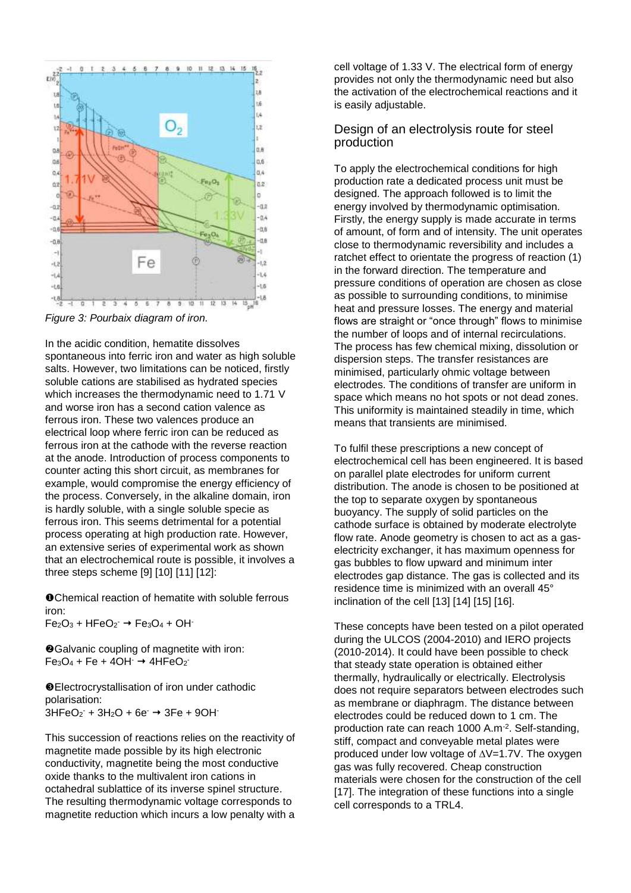

*Figure 3: Pourbaix diagram of iron.*

In the acidic condition, hematite dissolves spontaneous into ferric iron and water as high soluble salts. However, two limitations can be noticed, firstly soluble cations are stabilised as hydrated species which increases the thermodynamic need to 1.71 V and worse iron has a second cation valence as ferrous iron. These two valences produce an electrical loop where ferric iron can be reduced as ferrous iron at the cathode with the reverse reaction at the anode. Introduction of process components to counter acting this short circuit, as membranes for example, would compromise the energy efficiency of the process. Conversely, in the alkaline domain, iron is hardly soluble, with a single soluble specie as ferrous iron. This seems detrimental for a potential process operating at high production rate. However, an extensive series of experimental work as shown that an electrochemical route is possible, it involves a three steps scheme [9] [10] [11] [12]:

Chemical reaction of hematite with soluble ferrous iron:  $Fe<sub>2</sub>O<sub>3</sub> + HFeO<sub>2</sub> \rightarrow Fe<sub>3</sub>O<sub>4</sub> + OH<sup>+</sup>$ 

❖Galvanic coupling of magnetite with iron:  $Fe<sub>3</sub>O<sub>4</sub> + Fe + 4OH^- \rightarrow 4HFeO<sub>2</sub>$ 

Electrocrystallisation of iron under cathodic polarisation:  $3HFeO<sub>2</sub> + 3H<sub>2</sub>O + 6e<sup>-</sup> \rightarrow 3Fe + 9OH<sup>-</sup>$ 

This succession of reactions relies on the reactivity of magnetite made possible by its high electronic conductivity, magnetite being the most conductive oxide thanks to the multivalent iron cations in octahedral sublattice of its inverse spinel structure. The resulting thermodynamic voltage corresponds to magnetite reduction which incurs a low penalty with a

cell voltage of 1.33 V. The electrical form of energy provides not only the thermodynamic need but also the activation of the electrochemical reactions and it is easily adjustable.

#### Design of an electrolysis route for steel production

To apply the electrochemical conditions for high production rate a dedicated process unit must be designed. The approach followed is to limit the energy involved by thermodynamic optimisation. Firstly, the energy supply is made accurate in terms of amount, of form and of intensity. The unit operates close to thermodynamic reversibility and includes a ratchet effect to orientate the progress of reaction (1) in the forward direction. The temperature and pressure conditions of operation are chosen as close as possible to surrounding conditions, to minimise heat and pressure losses. The energy and material flows are straight or "once through" flows to minimise the number of loops and of internal recirculations. The process has few chemical mixing, dissolution or dispersion steps. The transfer resistances are minimised, particularly ohmic voltage between electrodes. The conditions of transfer are uniform in space which means no hot spots or not dead zones. This uniformity is maintained steadily in time, which means that transients are minimised.

To fulfil these prescriptions a new concept of electrochemical cell has been engineered. It is based on parallel plate electrodes for uniform current distribution. The anode is chosen to be positioned at the top to separate oxygen by spontaneous buoyancy. The supply of solid particles on the cathode surface is obtained by moderate electrolyte flow rate. Anode geometry is chosen to act as a gaselectricity exchanger, it has maximum openness for gas bubbles to flow upward and minimum inter electrodes gap distance. The gas is collected and its residence time is minimized with an overall 45° inclination of the cell [13] [14] [15] [16].

These concepts have been tested on a pilot operated during the ULCOS (2004-2010) and IERO projects (2010-2014). It could have been possible to check that steady state operation is obtained either thermally, hydraulically or electrically. Electrolysis does not require separators between electrodes such as membrane or diaphragm. The distance between electrodes could be reduced down to 1 cm. The production rate can reach 1000 A.m-2 . Self-standing, stiff, compact and conveyable metal plates were produced under low voltage of  $\Delta V$ =1.7V. The oxygen gas was fully recovered. Cheap construction materials were chosen for the construction of the cell [17]. The integration of these functions into a single cell corresponds to a TRL4.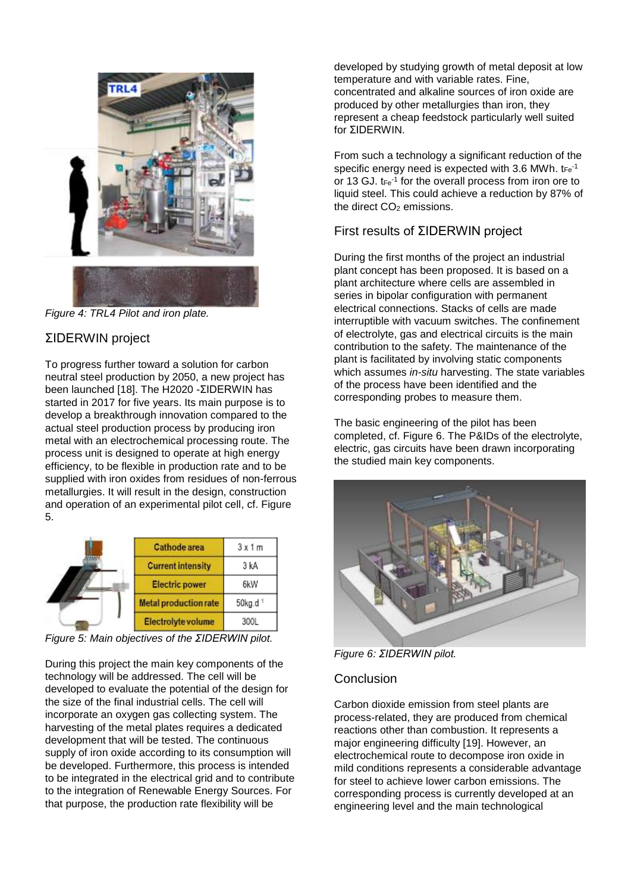

*Figure 4: TRL4 Pilot and iron plate.*

# ΣIDERWIN project

To progress further toward a solution for carbon neutral steel production by 2050, a new project has been launched [18]. The H2020 - ΣIDERWIN has started in 2017 for five years. Its main purpose is to develop a breakthrough innovation compared to the actual steel production process by producing iron metal with an electrochemical processing route. The process unit is designed to operate at high energy efficiency, to be flexible in production rate and to be supplied with iron oxides from residues of non-ferrous metallurgies. It will result in the design, construction and operation of an experimental pilot cell, cf. Figure 5.

|  | Cathode area             | 3x1m                 |
|--|--------------------------|----------------------|
|  | <b>Current intensity</b> | 3 kA                 |
|  | Electric power           | 6kW                  |
|  | Metal production rate    | 50kg.d <sup>-1</sup> |
|  | Electrolyte volume       | 300L                 |

*Figure 5: Main objectives of the ΣIDERWIN pilot.*

During this project the main key components of the technology will be addressed. The cell will be developed to evaluate the potential of the design for the size of the final industrial cells. The cell will incorporate an oxygen gas collecting system. The harvesting of the metal plates requires a dedicated development that will be tested. The continuous supply of iron oxide according to its consumption will be developed. Furthermore, this process is intended to be integrated in the electrical grid and to contribute to the integration of Renewable Energy Sources. For that purpose, the production rate flexibility will be

developed by studying growth of metal deposit at low temperature and with variable rates. Fine, concentrated and alkaline sources of iron oxide are produced by other metallurgies than iron, they represent a cheap feedstock particularly well suited for ΣIDERWIN.

From such a technology a significant reduction of the specific energy need is expected with 3.6 MWh.  $tr_{e^{-1}}$ or 13 GJ.  $t_{Fe}$ <sup>1</sup> for the overall process from iron ore to liquid steel. This could achieve a reduction by 87% of the direct  $CO<sub>2</sub>$  emissions.

## First results of ΣIDERWIN project

During the first months of the project an industrial plant concept has been proposed. It is based on a plant architecture where cells are assembled in series in bipolar configuration with permanent electrical connections. Stacks of cells are made interruptible with vacuum switches. The confinement of electrolyte, gas and electrical circuits is the main contribution to the safety. The maintenance of the plant is facilitated by involving static components which assumes *in-situ* harvesting. The state variables of the process have been identified and the corresponding probes to measure them.

The basic engineering of the pilot has been completed, cf. Figure 6. The P&IDs of the electrolyte, electric, gas circuits have been drawn incorporating the studied main key components.



*Figure 6: ΣIDERWIN pilot.*

## **Conclusion**

Carbon dioxide emission from steel plants are process-related, they are produced from chemical reactions other than combustion. It represents a major engineering difficulty [19]. However, an electrochemical route to decompose iron oxide in mild conditions represents a considerable advantage for steel to achieve lower carbon emissions. The corresponding process is currently developed at an engineering level and the main technological